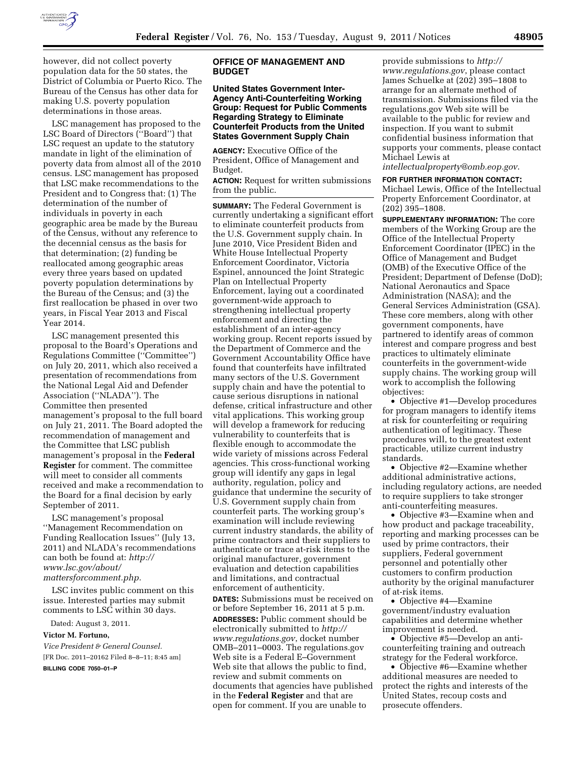

however, did not collect poverty population data for the 50 states, the District of Columbia or Puerto Rico. The Bureau of the Census has other data for

determinations in those areas. LSC management has proposed to the LSC Board of Directors (''Board'') that LSC request an update to the statutory mandate in light of the elimination of poverty data from almost all of the 2010 census. LSC management has proposed that LSC make recommendations to the President and to Congress that: (1) The determination of the number of individuals in poverty in each geographic area be made by the Bureau of the Census, without any reference to the decennial census as the basis for that determination; (2) funding be reallocated among geographic areas every three years based on updated poverty population determinations by the Bureau of the Census; and (3) the first reallocation be phased in over two years, in Fiscal Year 2013 and Fiscal Year 2014.

making U.S. poverty population

LSC management presented this proposal to the Board's Operations and Regulations Committee (''Committee'') on July 20, 2011, which also received a presentation of recommendations from the National Legal Aid and Defender Association (''NLADA''). The Committee then presented management's proposal to the full board on July 21, 2011. The Board adopted the recommendation of management and the Committee that LSC publish management's proposal in the **Federal Register** for comment. The committee will meet to consider all comments received and make a recommendation to the Board for a final decision by early September of 2011.

LSC management's proposal ''Management Recommendation on Funding Reallocation Issues'' (July 13, 2011) and NLADA's recommendations can both be found at: *[http://](http://www.lsc.gov/about/mattersforcomment.php)  [www.lsc.gov/about/](http://www.lsc.gov/about/mattersforcomment.php)  [mattersforcomment.php.](http://www.lsc.gov/about/mattersforcomment.php)* 

LSC invites public comment on this issue. Interested parties may submit comments to LSC within 30 days.

Dated: August 3, 2011.

#### **Victor M. Fortuno,**

*Vice President & General Counsel.*  [FR Doc. 2011–20162 Filed 8–8–11; 8:45 am] **BILLING CODE 7050–01–P** 

# **OFFICE OF MANAGEMENT AND BUDGET**

# **United States Government Inter-Agency Anti-Counterfeiting Working Group: Request for Public Comments Regarding Strategy to Eliminate Counterfeit Products from the United States Government Supply Chain**

**AGENCY:** Executive Office of the President, Office of Management and Budget.

**ACTION:** Request for written submissions from the public.

**SUMMARY:** The Federal Government is currently undertaking a significant effort to eliminate counterfeit products from the U.S. Government supply chain. In June 2010, Vice President Biden and White House Intellectual Property Enforcement Coordinator, Victoria Espinel, announced the Joint Strategic Plan on Intellectual Property Enforcement, laying out a coordinated government-wide approach to strengthening intellectual property enforcement and directing the establishment of an inter-agency working group. Recent reports issued by the Department of Commerce and the Government Accountability Office have found that counterfeits have infiltrated many sectors of the U.S. Government supply chain and have the potential to cause serious disruptions in national defense, critical infrastructure and other vital applications. This working group will develop a framework for reducing vulnerability to counterfeits that is flexible enough to accommodate the wide variety of missions across Federal agencies. This cross-functional working group will identify any gaps in legal authority, regulation, policy and guidance that undermine the security of U.S. Government supply chain from counterfeit parts. The working group's examination will include reviewing current industry standards, the ability of prime contractors and their suppliers to authenticate or trace at-risk items to the original manufacturer, government evaluation and detection capabilities and limitations, and contractual enforcement of authenticity. **DATES:** Submissions must be received on or before September 16, 2011 at 5 p.m. **ADDRESSES:** Public comment should be electronically submitted to *[http://](http://www.regulations.gov)  [www.regulations.gov](http://www.regulations.gov)*, docket number OMB–2011–0003. The regulations.gov Web site is a Federal E–Government Web site that allows the public to find, review and submit comments on documents that agencies have published in the **Federal Register** and that are open for comment. If you are unable to

provide submissions to *[http://](http://www.regulations.gov)  [www.regulations.gov](http://www.regulations.gov)*, please contact James Schuelke at (202) 395–1808 to arrange for an alternate method of transmission. Submissions filed via the regulations.gov Web site will be available to the public for review and inspection. If you want to submit confidential business information that supports your comments, please contact Michael Lewis at

*[intellectualproperty@omb.eop.gov](mailto:intellectualproperty@omb.eop.gov)*.

**FOR FURTHER INFORMATION CONTACT:**  Michael Lewis, Office of the Intellectual Property Enforcement Coordinator, at (202) 395–1808.

**SUPPLEMENTARY INFORMATION:** The core members of the Working Group are the Office of the Intellectual Property Enforcement Coordinator (IPEC) in the Office of Management and Budget (OMB) of the Executive Office of the President; Department of Defense (DoD); National Aeronautics and Space Administration (NASA); and the General Services Administration (GSA). These core members, along with other government components, have partnered to identify areas of common interest and compare progress and best practices to ultimately eliminate counterfeits in the government-wide supply chains. The working group will work to accomplish the following objectives:

• Objective #1—Develop procedures for program managers to identify items at risk for counterfeiting or requiring authentication of legitimacy. These procedures will, to the greatest extent practicable, utilize current industry standards.

• Objective #2—Examine whether additional administrative actions, including regulatory actions, are needed to require suppliers to take stronger anti-counterfeiting measures.

• Objective #3—Examine when and how product and package traceability, reporting and marking processes can be used by prime contractors, their suppliers, Federal government personnel and potentially other customers to confirm production authority by the original manufacturer of at-risk items.

• Objective #4—Examine government/industry evaluation capabilities and determine whether improvement is needed.

• Objective #5—Develop an anticounterfeiting training and outreach strategy for the Federal workforce.

• Objective #6—Examine whether additional measures are needed to protect the rights and interests of the United States, recoup costs and prosecute offenders.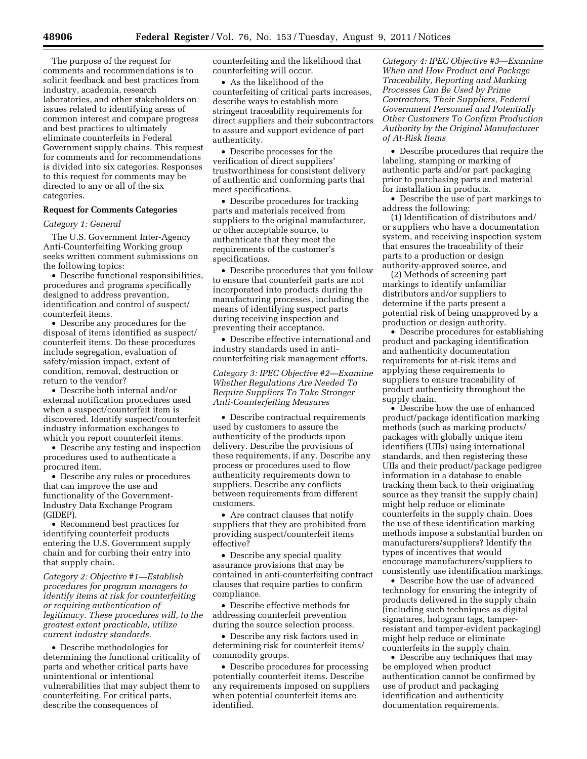The purpose of the request for comments and recommendations is to solicit feedback and best practices from industry, academia, research laboratories, and other stakeholders on issues related to identifying areas of common interest and compare progress and best practices to ultimately eliminate counterfeits in Federal Government supply chains. This request for comments and for recommendations is divided into six categories. Responses to this request for comments may be directed to any or all of the six categories.

### **Request for Comments Categories**

#### *Category 1: General*

The U.S. Government Inter-Agency Anti-Counterfeiting Working group seeks written comment submissions on the following topics:

• Describe functional responsibilities, procedures and programs specifically designed to address prevention, identification and control of suspect/ counterfeit items.

• Describe any procedures for the disposal of items identified as suspect/ counterfeit items. Do these procedures include segregation, evaluation of safety/mission impact, extent of condition, removal, destruction or return to the vendor?

• Describe both internal and/or external notification procedures used when a suspect/counterfeit item is discovered. Identify suspect/counterfeit industry information exchanges to which you report counterfeit items.

• Describe any testing and inspection procedures used to authenticate a procured item.

• Describe any rules or procedures that can improve the use and functionality of the Government-Industry Data Exchange Program (GIDEP).

• Recommend best practices for identifying counterfeit products entering the U.S. Government supply chain and for curbing their entry into that supply chain.

*Category 2: Objective #1—Establish procedures for program managers to identify items at risk for counterfeiting or requiring authentication of legitimacy. These procedures will, to the greatest extent practicable, utilize current industry standards.* 

• Describe methodologies for determining the functional criticality of parts and whether critical parts have unintentional or intentional vulnerabilities that may subject them to counterfeiting. For critical parts, describe the consequences of

counterfeiting and the likelihood that counterfeiting will occur.

• As the likelihood of the counterfeiting of critical parts increases, describe ways to establish more stringent traceability requirements for direct suppliers and their subcontractors to assure and support evidence of part authenticity.

• Describe processes for the verification of direct suppliers' trustworthiness for consistent delivery of authentic and conforming parts that meet specifications.

• Describe procedures for tracking parts and materials received from suppliers to the original manufacturer, or other acceptable source, to authenticate that they meet the requirements of the customer's specifications.

• Describe procedures that you follow to ensure that counterfeit parts are not incorporated into products during the manufacturing processes, including the means of identifying suspect parts during receiving inspection and preventing their acceptance.

• Describe effective international and industry standards used in anticounterfeiting risk management efforts.

*Category 3: IPEC Objective #2—Examine Whether Regulations Are Needed To Require Suppliers To Take Stronger Anti-Counterfeiting Measures* 

• Describe contractual requirements used by customers to assure the authenticity of the products upon delivery. Describe the provisions of these requirements, if any. Describe any process or procedures used to flow authenticity requirements down to suppliers. Describe any conflicts between requirements from different customers.

• Are contract clauses that notify suppliers that they are prohibited from providing suspect/counterfeit items effective?

• Describe any special quality assurance provisions that may be contained in anti-counterfeiting contract clauses that require parties to confirm compliance.

• Describe effective methods for addressing counterfeit prevention during the source selection process.

• Describe any risk factors used in determining risk for counterfeit items/ commodity groups.

• Describe procedures for processing potentially counterfeit items. Describe any requirements imposed on suppliers when potential counterfeit items are identified.

*Category 4: IPEC Objective #3—Examine When and How Product and Package Traceability, Reporting and Marking Processes Can Be Used by Prime Contractors, Their Suppliers, Federal Government Personnel and Potentially Other Customers To Confirm Production Authority by the Original Manufacturer of At-Risk Items* 

• Describe procedures that require the labeling, stamping or marking of authentic parts and/or part packaging prior to purchasing parts and material for installation in products.

• Describe the use of part markings to address the following:

(1) Identification of distributors and/ or suppliers who have a documentation system, and receiving inspection system that ensures the traceability of their parts to a production or design authority-approved source, and

(2) Methods of screening part markings to identify unfamiliar distributors and/or suppliers to determine if the parts present a potential risk of being unapproved by a production or design authority.

• Describe procedures for establishing product and packaging identification and authenticity documentation requirements for at-risk items and applying these requirements to suppliers to ensure traceability of product authenticity throughout the supply chain.

• Describe how the use of enhanced product/package identification marking methods (such as marking products/ packages with globally unique item identifiers (UIIs) using international standards, and then registering these UIIs and their product/package pedigree information in a database to enable tracking them back to their originating source as they transit the supply chain) might help reduce or eliminate counterfeits in the supply chain. Does the use of these identification marking methods impose a substantial burden on manufacturers/suppliers? Identify the types of incentives that would encourage manufacturers/suppliers to consistently use identification markings.

• Describe how the use of advanced technology for ensuring the integrity of products delivered in the supply chain (including such techniques as digital signatures, hologram tags, tamperresistant and tamper-evident packaging) might help reduce or eliminate counterfeits in the supply chain.

• Describe any techniques that may be employed when product authentication cannot be confirmed by use of product and packaging identification and authenticity documentation requirements.